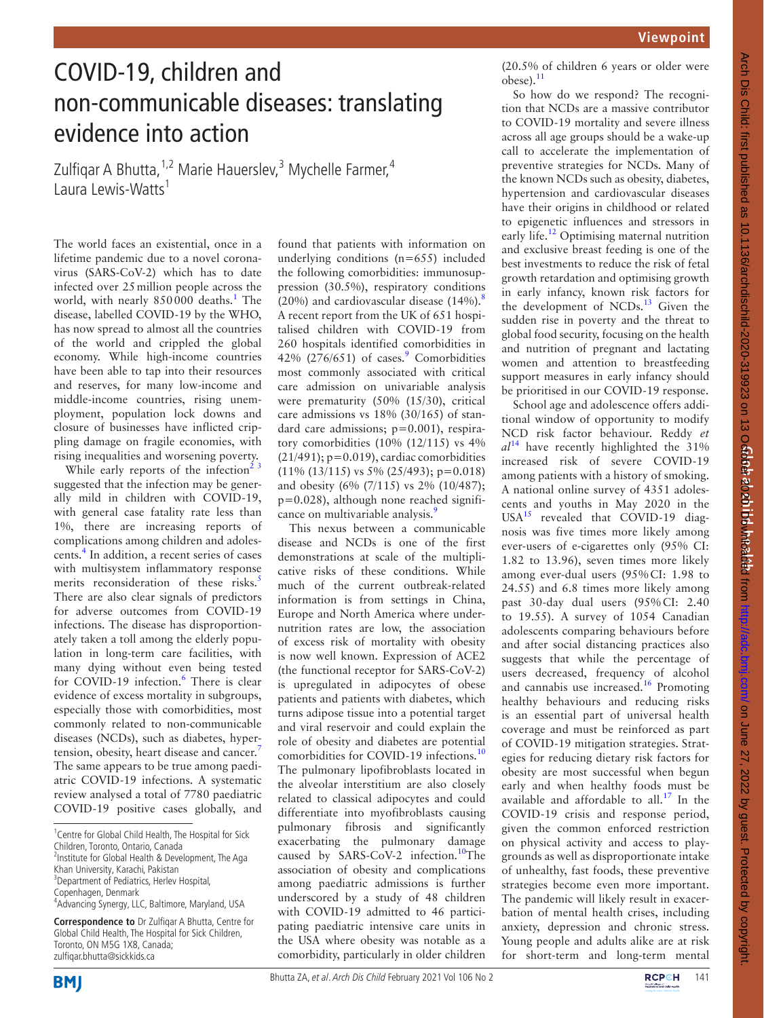## COVID-19, children and non-communicable diseases: translating evidence into action

Zulfiqar A Bhutta, <sup>1,2</sup> Marie Hauerslev, <sup>3</sup> Mychelle Farmer, <sup>4</sup> Laura Lewis-Watts<sup>1</sup>

The world faces an existential, once in a lifetime pandemic due to a novel coronavirus (SARS-CoV-2) which has to date infected over 25million people across the world, with nearly 850000 deaths.<sup>[1](#page-1-0)</sup> The disease, labelled COVID-19 by the WHO, has now spread to almost all the countries of the world and crippled the global economy. While high-income countries have been able to tap into their resources and reserves, for many low-income and middle-income countries, rising unemployment, population lock downs and closure of businesses have inflicted crippling damage on fragile economies, with rising inequalities and worsening poverty.

While early reports of the infection<sup>2</sup>  $3$ suggested that the infection may be generally mild in children with COVID-19, with general case fatality rate less than 1%, there are increasing reports of complications among children and adoles-cents.<sup>[4](#page-1-2)</sup> In addition, a recent series of cases with multisystem inflammatory response merits reconsideration of these risks.<sup>[5](#page-1-3)</sup> There are also clear signals of predictors for adverse outcomes from COVID-19 infections. The disease has disproportionately taken a toll among the elderly population in long-term care facilities, with many dying without even being tested for COVID-19 infection.<sup>[6](#page-1-4)</sup> There is clear evidence of excess mortality in subgroups, especially those with comorbidities, most commonly related to non-communicable diseases (NCDs), such as diabetes, hyper-tension, obesity, heart disease and cancer.<sup>[7](#page-1-5)</sup> The same appears to be true among paediatric COVID-19 infections. A systematic review analysed a total of 7780 paediatric COVID-19 positive cases globally, and

found that patients with information on underlying conditions  $(n=655)$  included the following comorbidities: immunosuppression (30.5%), respiratory conditions (20%) and cardiovascular disease  $(14\%)$ .<sup>8</sup> A recent report from the UK of 651 hospitalised children with COVID-19 from 260 hospitals identified comorbidities in 42% (276/651) of cases.<sup>[9](#page-1-7)</sup> Comorbidities most commonly associated with critical care admission on univariable analysis were prematurity (50% (15/30), critical care admissions vs 18% (30/165) of standard care admissions; p=0.001), respiratory comorbidities (10% (12/115) vs 4%  $(21/491)$ ; p=0.019), cardiac comorbidities  $(11\% (13/115)$  vs 5%  $(25/493)$ ; p=0.018) and obesity (6% (7/115) vs 2% (10/487); p=0.028), although none reached significance on multivariable analysis.<sup>9</sup>

This nexus between a communicable disease and NCDs is one of the first demonstrations at scale of the multiplicative risks of these conditions. While much of the current outbreak-related information is from settings in China, Europe and North America where undernutrition rates are low, the association of excess risk of mortality with obesity is now well known. Expression of ACE2 (the functional receptor for SARS-CoV-2) is upregulated in adipocytes of obese patients and patients with diabetes, which turns adipose tissue into a potential target and viral reservoir and could explain the role of obesity and diabetes are potential comorbidities for COVID-19 infections.<sup>[10](#page-1-8)</sup> The pulmonary lipofibroblasts located in the alveolar interstitium are also closely related to classical adipocytes and could differentiate into myofibroblasts causing pulmonary fibrosis and significantly exacerbating the pulmonary damage caused by SARS-CoV-2 infection.<sup>10</sup>The association of obesity and complications among paediatric admissions is further underscored by a study of 48 children with COVID-19 admitted to 46 participating paediatric intensive care units in the USA where obesity was notable as a comorbidity, particularly in older children

(20.5% of children 6 years or older were obese).<sup>11</sup>

So how do we respond? The recognition that NCDs are a massive contributor to COVID-19 mortality and severe illness across all age groups should be a wake-up call to accelerate the implementation of preventive strategies for NCDs. Many of the known NCDs such as obesity, diabetes, hypertension and cardiovascular diseases have their origins in childhood or related to epigenetic influences and stressors in early life.<sup>12</sup> Optimising maternal nutrition and exclusive breast feeding is one of the best investments to reduce the risk of fetal growth retardation and optimising growth in early infancy, known risk factors for the development of NCDs. $^{13}$  Given the sudden rise in poverty and the threat to global food security, focusing on the health and nutrition of pregnant and lactating women and attention to breastfeeding support measures in early infancy should be prioritised in our COVID-19 response.

School age and adolescence offers additional window of opportunity to modify NCD risk factor behaviour. Reddy *et al*[14](#page-1-12) have recently highlighted the 31% increased risk of severe COVID-19 among patients with a history of smoking. A national online survey of 4351 adolescents and youths in May 2020 in the  $USA<sup>15</sup>$  revealed that COVID-19 diagnosis was five times more likely among ever-users of e-cigarettes only (95% CI: 1.82 to 13.96), seven times more likely among ever-dual users (95%CI: 1.98 to 24.55) and 6.8 times more likely among past 30-day dual users (95%CI: 2.40 to 19.55). A survey of 1054 Canadian adolescents comparing behaviours before and after social distancing practices also suggests that while the percentage of users decreased, frequency of alcohol and cannabis use increased.[16](#page-1-14) Promoting healthy behaviours and reducing risks is an essential part of universal health coverage and must be reinforced as part of COVID-19 mitigation strategies. Strategies for reducing dietary risk factors for obesity are most successful when begun early and when healthy foods must be available and affordable to all.[17](#page-1-15) In the COVID-19 crisis and response period, given the common enforced restriction on physical activity and access to playgrounds as well as disproportionate intake of unhealthy, fast foods, these preventive strategies become even more important. The pandemic will likely result in exacerbation of mental health crises, including anxiety, depression and chronic stress. Young people and adults alike are at risk for short-term and long-term mental



<sup>&</sup>lt;sup>1</sup> Centre for Global Child Health, The Hospital for Sick Children, Toronto, Ontario, Canada <sup>2</sup>Institute for Global Health & Development, The Aga Khan University, Karachi, Pakistan <sup>3</sup> Department of Pediatrics, Herlev Hospital, Copenhagen, Denmark 4 Advancing Synergy, LLC, Baltimore, Maryland, USA

**Correspondence to** Dr Zulfiqar A Bhutta, Centre for Global Child Health, The Hospital for Sick Children, Toronto, ON M5G 1X8, Canada; zulfiqar.bhutta@sickkids.ca